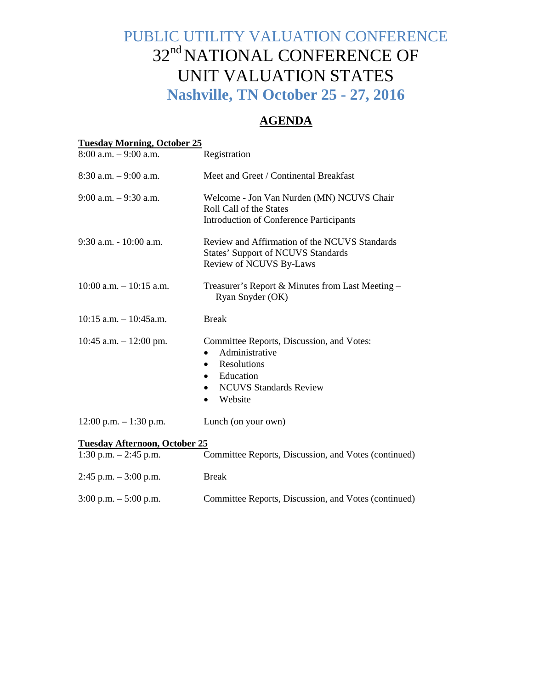## PUBLIC UTILITY VALUATION CONFERENCE 32<sup>nd</sup>NATIONAL CONFERENCE OF UNIT VALUATION STATES **Nashville, TN October 25 - 27, 2016**

## **AGENDA**

| <b>Tuesday Morning, October 25</b>                               |                                                                                                                                                                                   |  |
|------------------------------------------------------------------|-----------------------------------------------------------------------------------------------------------------------------------------------------------------------------------|--|
| 8:00 a.m. - 9:00 a.m.                                            | Registration                                                                                                                                                                      |  |
| $8:30$ a.m. $-9:00$ a.m.                                         | Meet and Greet / Continental Breakfast                                                                                                                                            |  |
| 9:00 a.m. - 9:30 a.m.                                            | Welcome - Jon Van Nurden (MN) NCUVS Chair<br>Roll Call of the States<br><b>Introduction of Conference Participants</b>                                                            |  |
| 9:30 a.m. - 10:00 a.m.                                           | Review and Affirmation of the NCUVS Standards<br><b>States' Support of NCUVS Standards</b><br>Review of NCUVS By-Laws                                                             |  |
| $10:00$ a.m. $-10:15$ a.m.                                       | Treasurer's Report & Minutes from Last Meeting –<br>Ryan Snyder (OK)                                                                                                              |  |
| $10:15$ a.m. $-10:45$ a.m.                                       | <b>Break</b>                                                                                                                                                                      |  |
| $10:45$ a.m. $- 12:00$ pm.                                       | Committee Reports, Discussion, and Votes:<br>Administrative<br><b>Resolutions</b><br>$\bullet$<br>Education<br>$\bullet$<br><b>NCUVS Standards Review</b><br>Website<br>$\bullet$ |  |
| $12:00$ p.m. $-1:30$ p.m.                                        | Lunch (on your own)                                                                                                                                                               |  |
| <b>Tuesday Afternoon, October 25</b><br>$1:30$ p.m. $-2:45$ p.m. | Committee Reports, Discussion, and Votes (continued)                                                                                                                              |  |
| 2:45 p.m. $-3:00$ p.m.                                           | <b>Break</b>                                                                                                                                                                      |  |
| $3:00$ p.m. $-5:00$ p.m.                                         | Committee Reports, Discussion, and Votes (continued)                                                                                                                              |  |